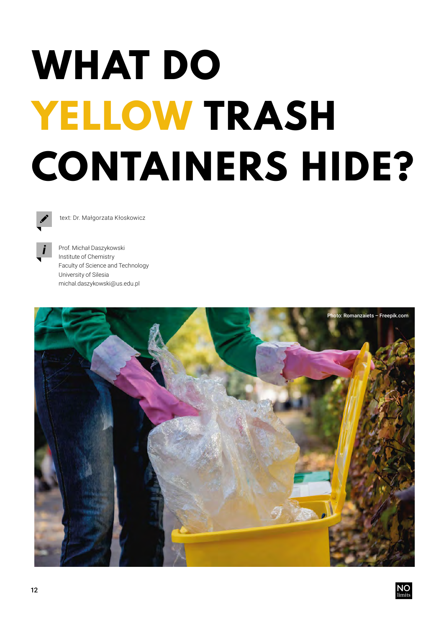## **WHAT DO YELLOW TRASH CONTAINERS HIDE?**



text: Dr. Małgorzata Kłoskowicz



Prof. Michał Daszykowski Institute of Chemistry Faculty of Science and Technology University of Silesia michal.daszykowski@us.edu.pl